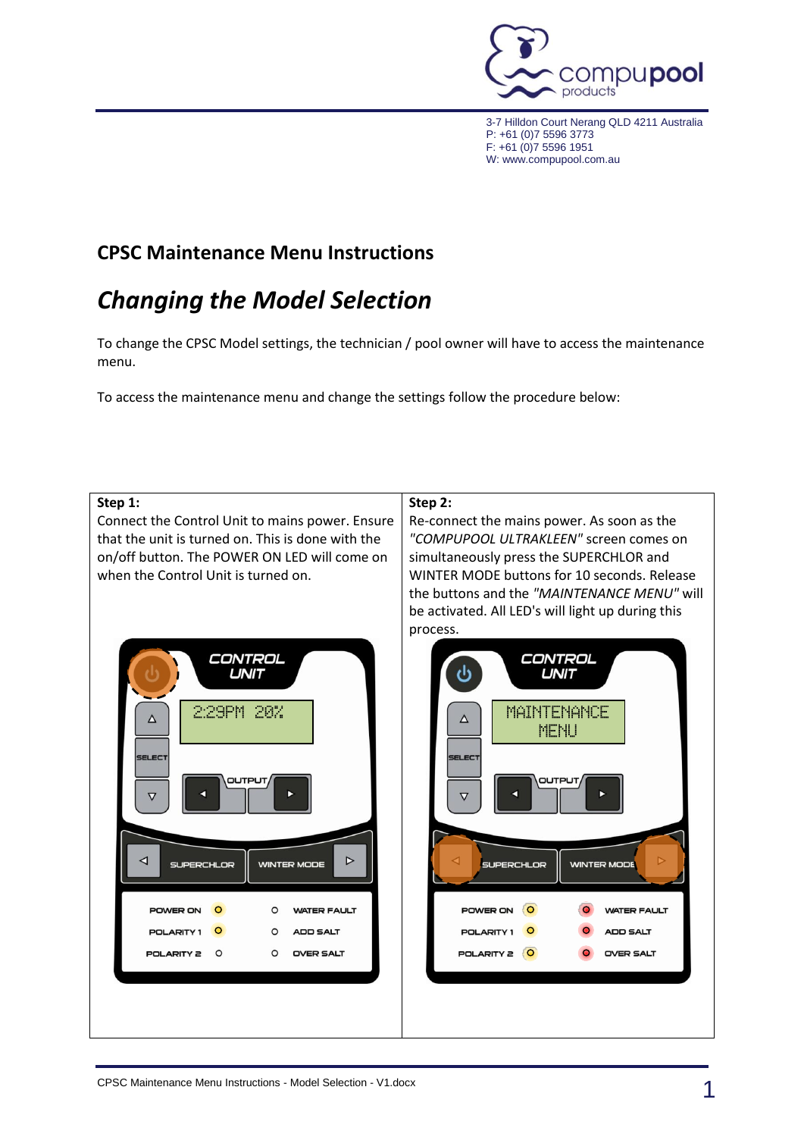

3-7 Hilldon Court Nerang QLD 4211 Australia P: +61 (0)7 5596 3773 F: +61 (0)7 5596 1951 W: www.compupool.com.au

## **CPSC Maintenance Menu Instructions**

# *Changing the Model Selection*

To change the CPSC Model settings, the technician / pool owner will have to access the maintenance menu.

To access the maintenance menu and change the settings follow the procedure below: